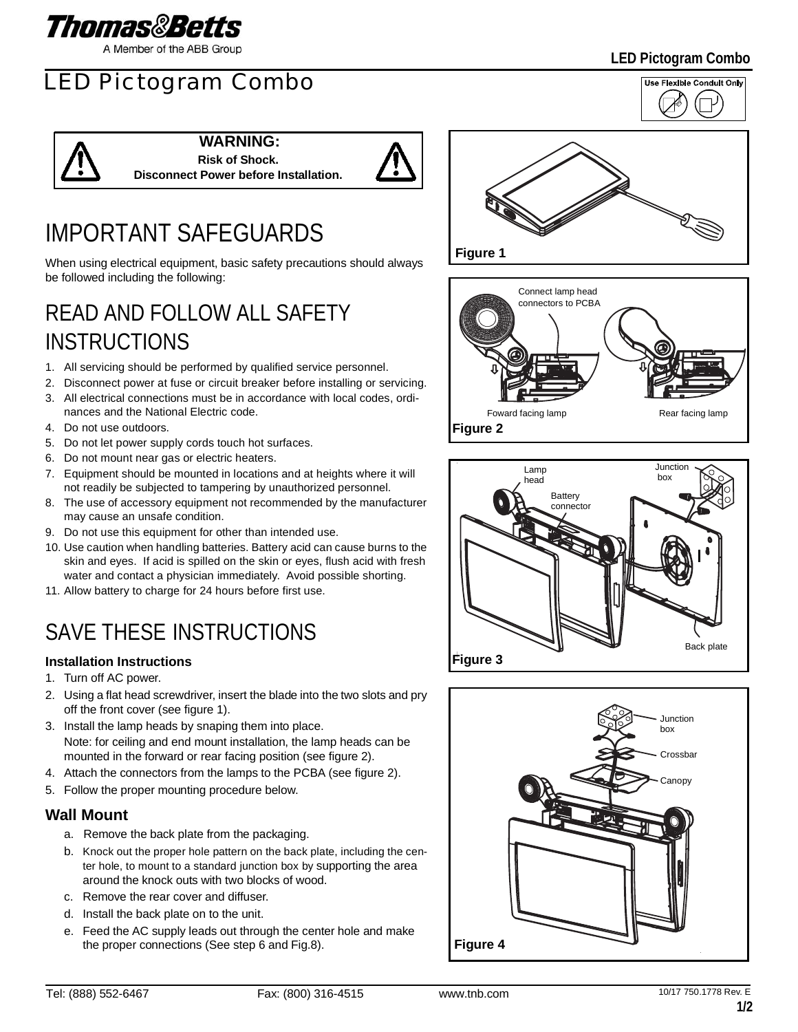

A Member of the ABB Group

### LED Pictogram Combo



#### **WARNING: Risk of Shock. Disconnect Power before Installation.**



# IMPORTANT SAFEGUARDS

When using electrical equipment, basic safety precautions should always be followed including the following:

## READ AND FOLLOW ALL SAFETY **INSTRUCTIONS**

- 1. All servicing should be performed by qualified service personnel.
- 2. Disconnect power at fuse or circuit breaker before installing or servicing.
- 3. All electrical connections must be in accordance with local codes, ordinances and the National Electric code.
- 4. Do not use outdoors.
- 5. Do not let power supply cords touch hot surfaces.
- 6. Do not mount near gas or electric heaters.
- 7. Equipment should be mounted in locations and at heights where it will not readily be subjected to tampering by unauthorized personnel.
- 8. The use of accessory equipment not recommended by the manufacturer may cause an unsafe condition.
- 9. Do not use this equipment for other than intended use.
- 10. Use caution when handling batteries. Battery acid can cause burns to the skin and eyes. If acid is spilled on the skin or eyes, flush acid with fresh water and contact a physician immediately. Avoid possible shorting.
- 11. Allow battery to charge for 24 hours before first use.

# SAVE THESE INSTRUCTIONS

#### **Installation Instructions**

- 1. Turn off AC power.
- 2. Using a flat head screwdriver, insert the blade into the two slots and pry off the front cover (see figure 1).
- 3. Install the lamp heads by snaping them into place. Note: for ceiling and end mount installation, the lamp heads can be mounted in the forward or rear facing position (see figure 2).
- 4. Attach the connectors from the lamps to the PCBA (see figure 2).
- 5. Follow the proper mounting procedure below.

#### **Wall Mount**

- a. Remove the back plate from the packaging.
- b. Knock out the proper hole pattern on the back plate, including the center hole, to mount to a standard junction box by supporting the area around the knock outs with two blocks of wood.
- c. Remove the rear cover and diffuser.
- d. Install the back plate on to the unit.
- e. Feed the AC supply leads out through the center hole and make the proper connections (See step 6 and Fig.8).



**Figure 1**







Use Flexible Conduit Only